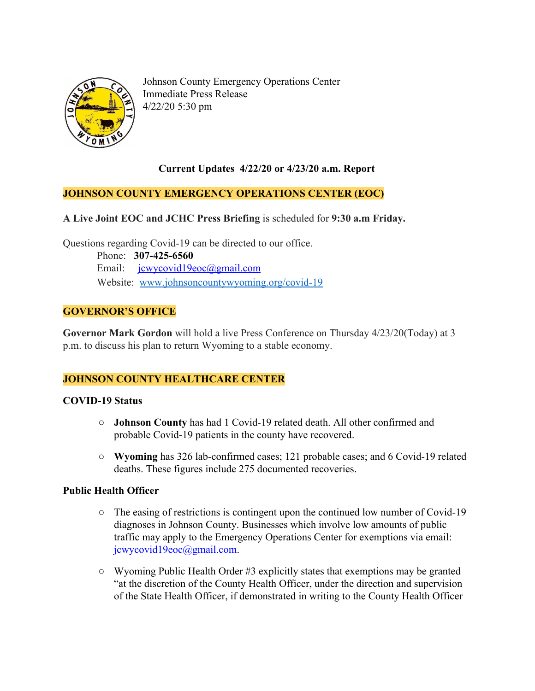

Johnson County Emergency Operations Center Immediate Press Release 4/22/20 5:30 pm

## **Current Updates 4/22/20 or 4/23/20 a.m. Report**

### **JOHNSON COUNTY EMERGENCY OPERATIONS CENTER (EOC)**

**A Live Joint EOC and JCHC Press Briefing** is scheduled for **9:30 a.m Friday.**

Questions regarding Covid-19 can be directed to our office.

 Phone: **307-425-6560** Email: [jcwycovid19eoc@gmail.com](mailto:jcwycovid19eoc@gmail.com) Website: [www.johnsoncountywyoming.org/covid-19](http://www.johnsoncountywyoming.org/covid-19)

## **GOVERNOR'S OFFICE**

**Governor Mark Gordon** will hold a live Press Conference on Thursday 4/23/20(Today) at 3 p.m. to discuss his plan to return Wyoming to a stable economy.

#### **JOHNSON COUNTY HEALTHCARE CENTER**

#### **COVID-19 Status**

- **○ Johnson County** has had 1 Covid-19 related death. All other confirmed and probable Covid-19 patients in the county have recovered.
- **○ Wyoming** has 326 lab-confirmed cases; 121 probable cases; and 6 Covid-19 related deaths. These figures include 275 documented recoveries.

#### **Public Health Officer**

- **○** The easing of restrictions is contingent upon the continued low number of Covid-19 diagnoses in Johnson County. Businesses which involve low amounts of public traffic may apply to the Emergency Operations Center for exemptions via email: [jcwycovid19eoc@gmail.com.](mailto:jcwycovid19eoc@gmail.com)
- **○** Wyoming Public Health Order #3 explicitly states that exemptions may be granted "at the discretion of the County Health Officer, under the direction and supervision of the State Health Officer, if demonstrated in writing to the County Health Officer